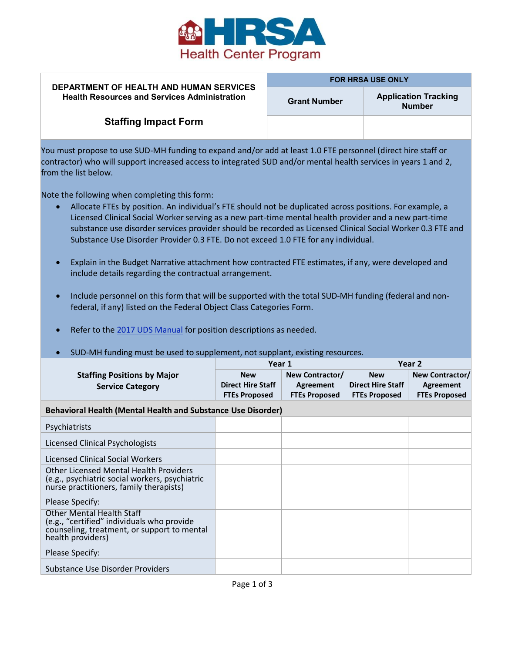

## **DEPARTMENT OF HEALTH AND HUMAN SERVICES Health Resources and Services Administration**

## **FOR HRSA USE ONLY**

**Grant Number Application Tracking Number** 

## **Staffing Impact Form**

You must propose to use SUD-MH funding to expand and/or add at least 1.0 FTE personnel (direct hire staff or contractor) who will support increased access to integrated SUD and/or mental health services in years 1 and 2, from the list below.

Note the following when completing this form:

- Allocate FTEs by position. An individual's FTE should not be duplicated across positions. For example, a Licensed Clinical Social Worker serving as a new part-time mental health provider and a new part-time substance use disorder services provider should be recorded as Licensed Clinical Social Worker 0.3 FTE and Substance Use Disorder Provider 0.3 FTE. Do not exceed 1.0 FTE for any individual.
- Explain in the Budget Narrative attachment how contracted FTE estimates, if any, were developed and include details regarding the contractual arrangement.
- Include personnel on this form that will be supported with the total SUD-MH funding (federal and nonfederal, if any) listed on the Federal Object Class Categories Form.
- Refer to th[e 2017 UDS Manual](https://www.bphc.hrsa.gov/datareporting/reporting/2017udsreportingmanual.pdf) for position descriptions as needed.

## • SUD-MH funding must be used to supplement, not supplant, existing resources.

|                                                                                                                                                    | Year 1                   |                      | Year 2                   |                        |  |  |  |
|----------------------------------------------------------------------------------------------------------------------------------------------------|--------------------------|----------------------|--------------------------|------------------------|--|--|--|
| <b>Staffing Positions by Major</b>                                                                                                                 | <b>New</b>               | New Contractor/      | <b>New</b>               | <b>New Contractor/</b> |  |  |  |
| <b>Service Category</b>                                                                                                                            | <b>Direct Hire Staff</b> | Agreement            | <b>Direct Hire Staff</b> | Agreement              |  |  |  |
|                                                                                                                                                    | <b>FTEs Proposed</b>     | <b>FTEs Proposed</b> | <b>FTEs Proposed</b>     | <b>FTEs Proposed</b>   |  |  |  |
| <b>Behavioral Health (Mental Health and Substance Use Disorder)</b>                                                                                |                          |                      |                          |                        |  |  |  |
| Psychiatrists                                                                                                                                      |                          |                      |                          |                        |  |  |  |
| Licensed Clinical Psychologists                                                                                                                    |                          |                      |                          |                        |  |  |  |
| Licensed Clinical Social Workers                                                                                                                   |                          |                      |                          |                        |  |  |  |
| <b>Other Licensed Mental Health Providers</b><br>(e.g., psychiatric social workers, psychiatric<br>nurse practitioners, family therapists)         |                          |                      |                          |                        |  |  |  |
| Please Specify:                                                                                                                                    |                          |                      |                          |                        |  |  |  |
| <b>Other Mental Health Staff</b><br>(e.g., "certified" individuals who provide<br>counseling, treatment, or support to mental<br>health providers) |                          |                      |                          |                        |  |  |  |
| Please Specify:                                                                                                                                    |                          |                      |                          |                        |  |  |  |
| Substance Use Disorder Providers                                                                                                                   |                          |                      |                          |                        |  |  |  |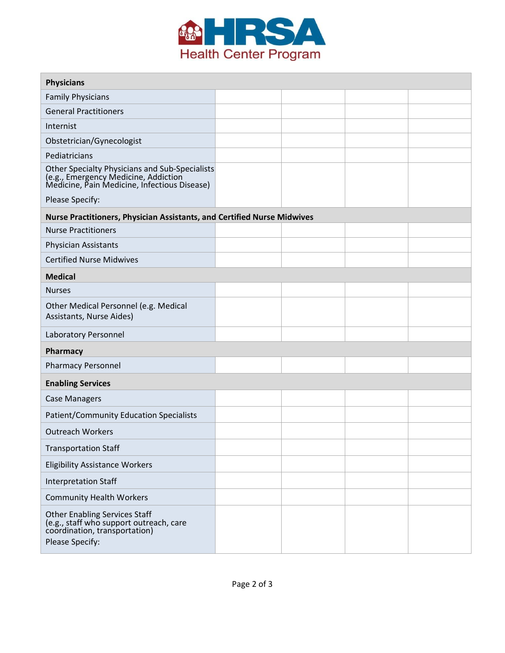

| <b>Physicians</b>                                                                                                                      |  |  |  |  |  |  |  |
|----------------------------------------------------------------------------------------------------------------------------------------|--|--|--|--|--|--|--|
| <b>Family Physicians</b>                                                                                                               |  |  |  |  |  |  |  |
| <b>General Practitioners</b>                                                                                                           |  |  |  |  |  |  |  |
| Internist                                                                                                                              |  |  |  |  |  |  |  |
| Obstetrician/Gynecologist                                                                                                              |  |  |  |  |  |  |  |
| Pediatricians                                                                                                                          |  |  |  |  |  |  |  |
| Other Specialty Physicians and Sub-Specialists<br>(e.g., Emergency Medicine, Addiction<br>Medicine, Pain Medicine, Infectious Disease) |  |  |  |  |  |  |  |
| Please Specify:                                                                                                                        |  |  |  |  |  |  |  |
| Nurse Practitioners, Physician Assistants, and Certified Nurse Midwives                                                                |  |  |  |  |  |  |  |
| <b>Nurse Practitioners</b>                                                                                                             |  |  |  |  |  |  |  |
| <b>Physician Assistants</b>                                                                                                            |  |  |  |  |  |  |  |
| <b>Certified Nurse Midwives</b>                                                                                                        |  |  |  |  |  |  |  |
| <b>Medical</b>                                                                                                                         |  |  |  |  |  |  |  |
| <b>Nurses</b>                                                                                                                          |  |  |  |  |  |  |  |
| Other Medical Personnel (e.g. Medical<br>Assistants, Nurse Aides)                                                                      |  |  |  |  |  |  |  |
| Laboratory Personnel                                                                                                                   |  |  |  |  |  |  |  |
| Pharmacy                                                                                                                               |  |  |  |  |  |  |  |
| <b>Pharmacy Personnel</b>                                                                                                              |  |  |  |  |  |  |  |
| <b>Enabling Services</b>                                                                                                               |  |  |  |  |  |  |  |
| <b>Case Managers</b>                                                                                                                   |  |  |  |  |  |  |  |
| <b>Patient/Community Education Specialists</b>                                                                                         |  |  |  |  |  |  |  |
| <b>Outreach Workers</b>                                                                                                                |  |  |  |  |  |  |  |
| <b>Transportation Staff</b>                                                                                                            |  |  |  |  |  |  |  |
| <b>Eligibility Assistance Workers</b>                                                                                                  |  |  |  |  |  |  |  |
| <b>Interpretation Staff</b>                                                                                                            |  |  |  |  |  |  |  |
| <b>Community Health Workers</b>                                                                                                        |  |  |  |  |  |  |  |
| <b>Other Enabling Services Staff</b><br>(e.g., staff who support outreach, care<br>coordination, transportation)<br>Please Specify:    |  |  |  |  |  |  |  |